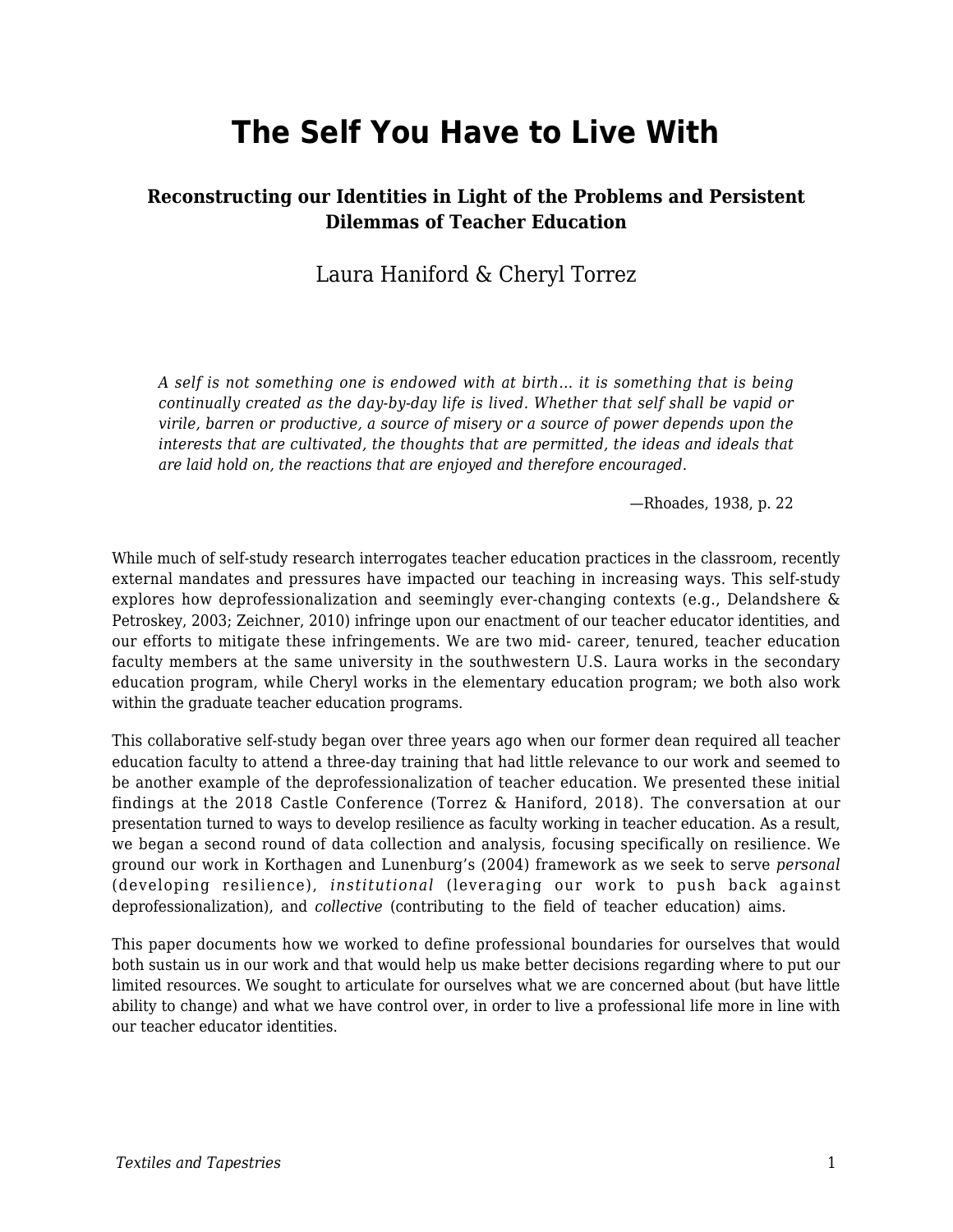# **The Self You Have to Live With**

### **Reconstructing our Identities in Light of the Problems and Persistent Dilemmas of Teacher Education**

## Laura Haniford & Cheryl Torrez

*A self is not something one is endowed with at birth… it is something that is being continually created as the day-by-day life is lived. Whether that self shall be vapid or virile, barren or productive, a source of misery or a source of power depends upon the interests that are cultivated, the thoughts that are permitted, the ideas and ideals that are laid hold on, the reactions that are enjoyed and therefore encouraged.*

—Rhoades, 1938, p. 22

While much of self-study research interrogates teacher education practices in the classroom, recently external mandates and pressures have impacted our teaching in increasing ways. This self-study explores how deprofessionalization and seemingly ever-changing contexts (e.g., Delandshere & Petroskey, 2003; Zeichner, 2010) infringe upon our enactment of our teacher educator identities, and our efforts to mitigate these infringements. We are two mid- career, tenured, teacher education faculty members at the same university in the southwestern U.S. Laura works in the secondary education program, while Cheryl works in the elementary education program; we both also work within the graduate teacher education programs.

This collaborative self-study began over three years ago when our former dean required all teacher education faculty to attend a three-day training that had little relevance to our work and seemed to be another example of the deprofessionalization of teacher education. We presented these initial findings at the 2018 Castle Conference (Torrez & Haniford, 2018). The conversation at our presentation turned to ways to develop resilience as faculty working in teacher education. As a result, we began a second round of data collection and analysis, focusing specifically on resilience. We ground our work in Korthagen and Lunenburg's (2004) framework as we seek to serve *personal* (developing resilience), *institutional* (leveraging our work to push back against deprofessionalization), and *collective* (contributing to the field of teacher education) aims.

This paper documents how we worked to define professional boundaries for ourselves that would both sustain us in our work and that would help us make better decisions regarding where to put our limited resources. We sought to articulate for ourselves what we are concerned about (but have little ability to change) and what we have control over, in order to live a professional life more in line with our teacher educator identities.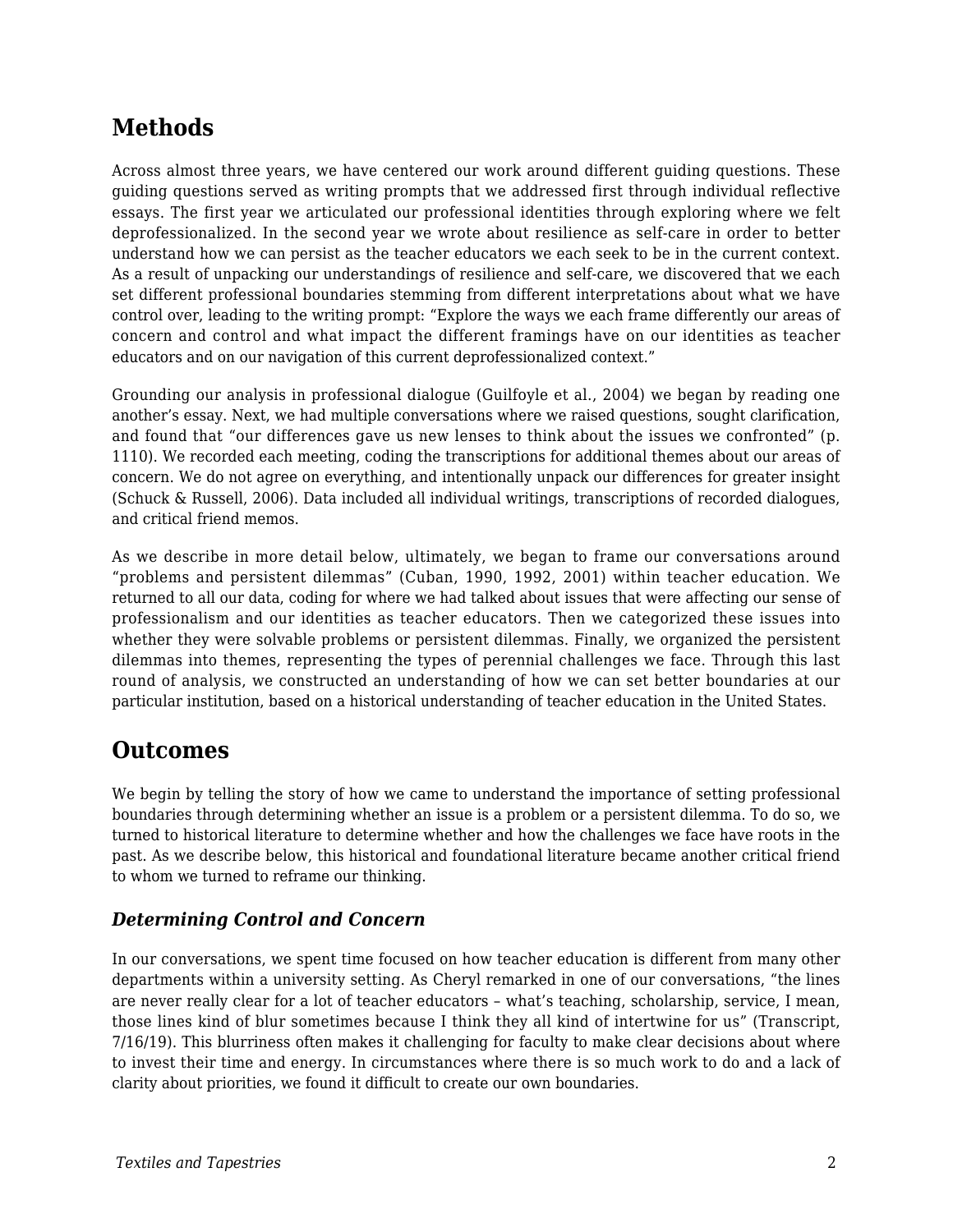# **Methods**

Across almost three years, we have centered our work around different guiding questions. These guiding questions served as writing prompts that we addressed first through individual reflective essays. The first year we articulated our professional identities through exploring where we felt deprofessionalized. In the second year we wrote about resilience as self-care in order to better understand how we can persist as the teacher educators we each seek to be in the current context. As a result of unpacking our understandings of resilience and self-care, we discovered that we each set different professional boundaries stemming from different interpretations about what we have control over, leading to the writing prompt: "Explore the ways we each frame differently our areas of concern and control and what impact the different framings have on our identities as teacher educators and on our navigation of this current deprofessionalized context."

Grounding our analysis in professional dialogue (Guilfoyle et al., 2004) we began by reading one another's essay. Next, we had multiple conversations where we raised questions, sought clarification, and found that "our differences gave us new lenses to think about the issues we confronted" (p. 1110). We recorded each meeting, coding the transcriptions for additional themes about our areas of concern. We do not agree on everything, and intentionally unpack our differences for greater insight (Schuck & Russell, 2006). Data included all individual writings, transcriptions of recorded dialogues, and critical friend memos.

As we describe in more detail below, ultimately, we began to frame our conversations around "problems and persistent dilemmas" (Cuban, 1990, 1992, 2001) within teacher education. We returned to all our data, coding for where we had talked about issues that were affecting our sense of professionalism and our identities as teacher educators. Then we categorized these issues into whether they were solvable problems or persistent dilemmas. Finally, we organized the persistent dilemmas into themes, representing the types of perennial challenges we face. Through this last round of analysis, we constructed an understanding of how we can set better boundaries at our particular institution, based on a historical understanding of teacher education in the United States.

## **Outcomes**

We begin by telling the story of how we came to understand the importance of setting professional boundaries through determining whether an issue is a problem or a persistent dilemma. To do so, we turned to historical literature to determine whether and how the challenges we face have roots in the past. As we describe below, this historical and foundational literature became another critical friend to whom we turned to reframe our thinking.

#### *Determining Control and Concern*

In our conversations, we spent time focused on how teacher education is different from many other departments within a university setting. As Cheryl remarked in one of our conversations, "the lines are never really clear for a lot of teacher educators – what's teaching, scholarship, service, I mean, those lines kind of blur sometimes because I think they all kind of intertwine for us" (Transcript, 7/16/19). This blurriness often makes it challenging for faculty to make clear decisions about where to invest their time and energy. In circumstances where there is so much work to do and a lack of clarity about priorities, we found it difficult to create our own boundaries.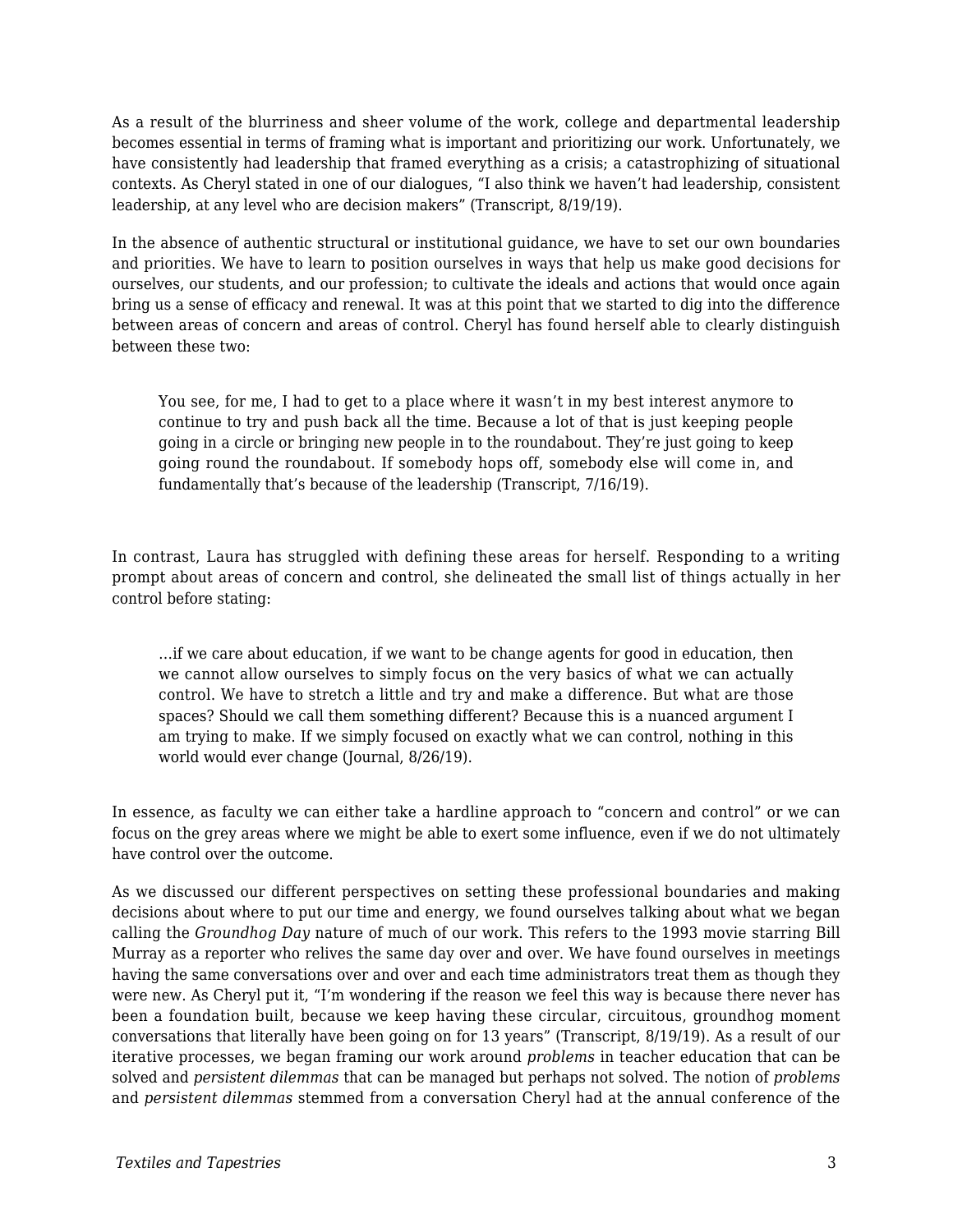As a result of the blurriness and sheer volume of the work, college and departmental leadership becomes essential in terms of framing what is important and prioritizing our work. Unfortunately, we have consistently had leadership that framed everything as a crisis; a catastrophizing of situational contexts. As Cheryl stated in one of our dialogues, "I also think we haven't had leadership, consistent leadership, at any level who are decision makers" (Transcript, 8/19/19).

In the absence of authentic structural or institutional guidance, we have to set our own boundaries and priorities. We have to learn to position ourselves in ways that help us make good decisions for ourselves, our students, and our profession; to cultivate the ideals and actions that would once again bring us a sense of efficacy and renewal. It was at this point that we started to dig into the difference between areas of concern and areas of control. Cheryl has found herself able to clearly distinguish between these two:

You see, for me, I had to get to a place where it wasn't in my best interest anymore to continue to try and push back all the time. Because a lot of that is just keeping people going in a circle or bringing new people in to the roundabout. They're just going to keep going round the roundabout. If somebody hops off, somebody else will come in, and fundamentally that's because of the leadership (Transcript, 7/16/19).

In contrast, Laura has struggled with defining these areas for herself. Responding to a writing prompt about areas of concern and control, she delineated the small list of things actually in her control before stating:

…if we care about education, if we want to be change agents for good in education, then we cannot allow ourselves to simply focus on the very basics of what we can actually control. We have to stretch a little and try and make a difference. But what are those spaces? Should we call them something different? Because this is a nuanced argument I am trying to make. If we simply focused on exactly what we can control, nothing in this world would ever change (Journal, 8/26/19).

In essence, as faculty we can either take a hardline approach to "concern and control" or we can focus on the grey areas where we might be able to exert some influence, even if we do not ultimately have control over the outcome.

As we discussed our different perspectives on setting these professional boundaries and making decisions about where to put our time and energy, we found ourselves talking about what we began calling the *Groundhog Day* nature of much of our work. This refers to the 1993 movie starring Bill Murray as a reporter who relives the same day over and over. We have found ourselves in meetings having the same conversations over and over and each time administrators treat them as though they were new. As Cheryl put it, "I'm wondering if the reason we feel this way is because there never has been a foundation built, because we keep having these circular, circuitous, groundhog moment conversations that literally have been going on for 13 years" (Transcript, 8/19/19). As a result of our iterative processes, we began framing our work around *problems* in teacher education that can be solved and *persistent dilemmas* that can be managed but perhaps not solved. The notion of *problems* and *persistent dilemmas* stemmed from a conversation Cheryl had at the annual conference of the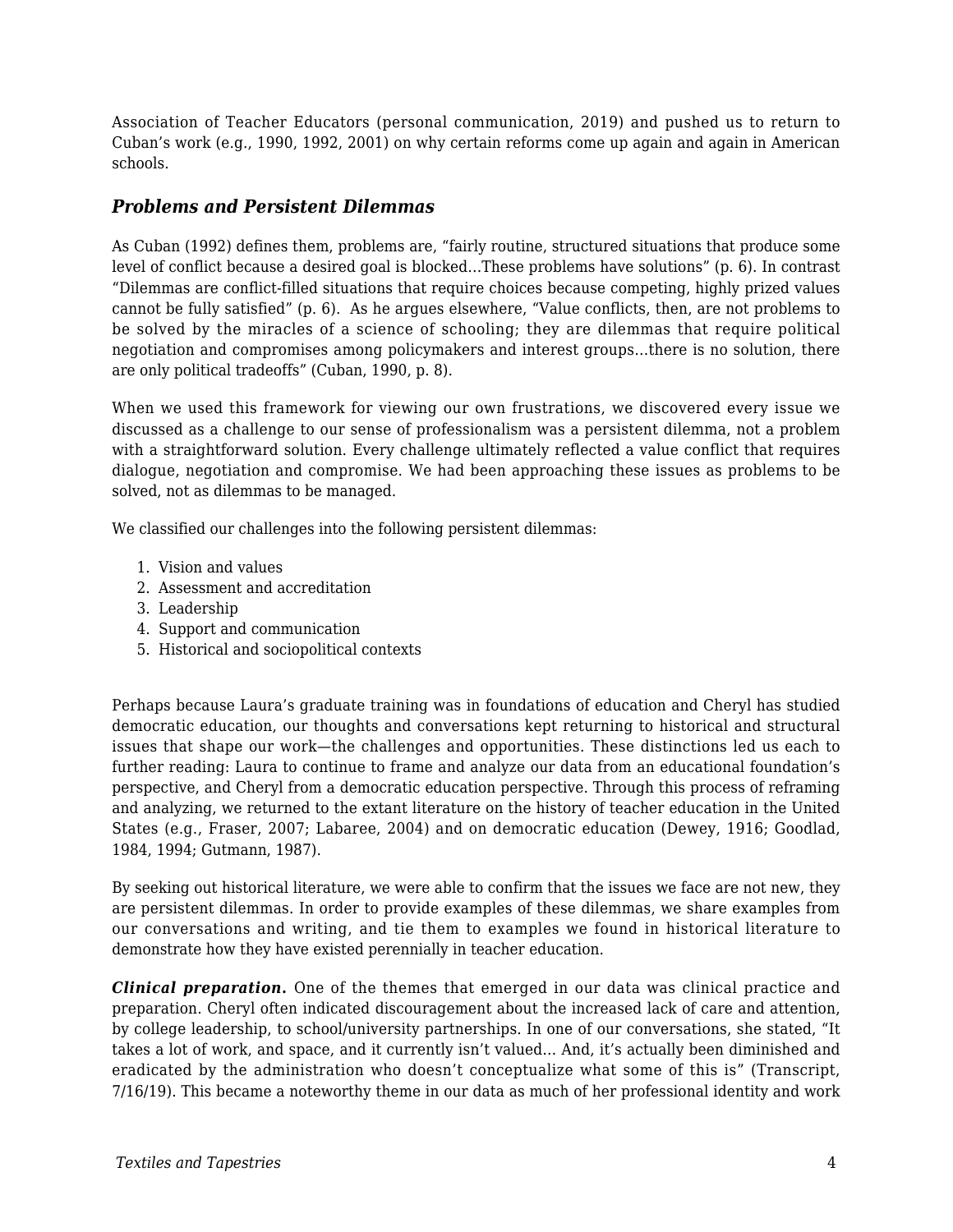Association of Teacher Educators (personal communication, 2019) and pushed us to return to Cuban's work (e.g., 1990, 1992, 2001) on why certain reforms come up again and again in American schools.

#### *Problems and Persistent Dilemmas*

As Cuban (1992) defines them, problems are, "fairly routine, structured situations that produce some level of conflict because a desired goal is blocked…These problems have solutions" (p. 6). In contrast "Dilemmas are conflict-filled situations that require choices because competing, highly prized values cannot be fully satisfied" (p. 6). As he argues elsewhere, "Value conflicts, then, are not problems to be solved by the miracles of a science of schooling; they are dilemmas that require political negotiation and compromises among policymakers and interest groups…there is no solution, there are only political tradeoffs" (Cuban, 1990, p. 8).

When we used this framework for viewing our own frustrations, we discovered every issue we discussed as a challenge to our sense of professionalism was a persistent dilemma, not a problem with a straightforward solution. Every challenge ultimately reflected a value conflict that requires dialogue, negotiation and compromise. We had been approaching these issues as problems to be solved, not as dilemmas to be managed.

We classified our challenges into the following persistent dilemmas:

- 1. Vision and values
- 2. Assessment and accreditation
- 3. Leadership
- 4. Support and communication
- 5. Historical and sociopolitical contexts

Perhaps because Laura's graduate training was in foundations of education and Cheryl has studied democratic education, our thoughts and conversations kept returning to historical and structural issues that shape our work—the challenges and opportunities. These distinctions led us each to further reading: Laura to continue to frame and analyze our data from an educational foundation's perspective, and Cheryl from a democratic education perspective. Through this process of reframing and analyzing, we returned to the extant literature on the history of teacher education in the United States (e.g., Fraser, 2007; Labaree, 2004) and on democratic education (Dewey, 1916; Goodlad, 1984, 1994; Gutmann, 1987).

By seeking out historical literature, we were able to confirm that the issues we face are not new, they are persistent dilemmas. In order to provide examples of these dilemmas, we share examples from our conversations and writing, and tie them to examples we found in historical literature to demonstrate how they have existed perennially in teacher education.

*Clinical preparation***.** One of the themes that emerged in our data was clinical practice and preparation. Cheryl often indicated discouragement about the increased lack of care and attention, by college leadership, to school/university partnerships. In one of our conversations, she stated, "It takes a lot of work, and space, and it currently isn't valued… And, it's actually been diminished and eradicated by the administration who doesn't conceptualize what some of this is" (Transcript, 7/16/19). This became a noteworthy theme in our data as much of her professional identity and work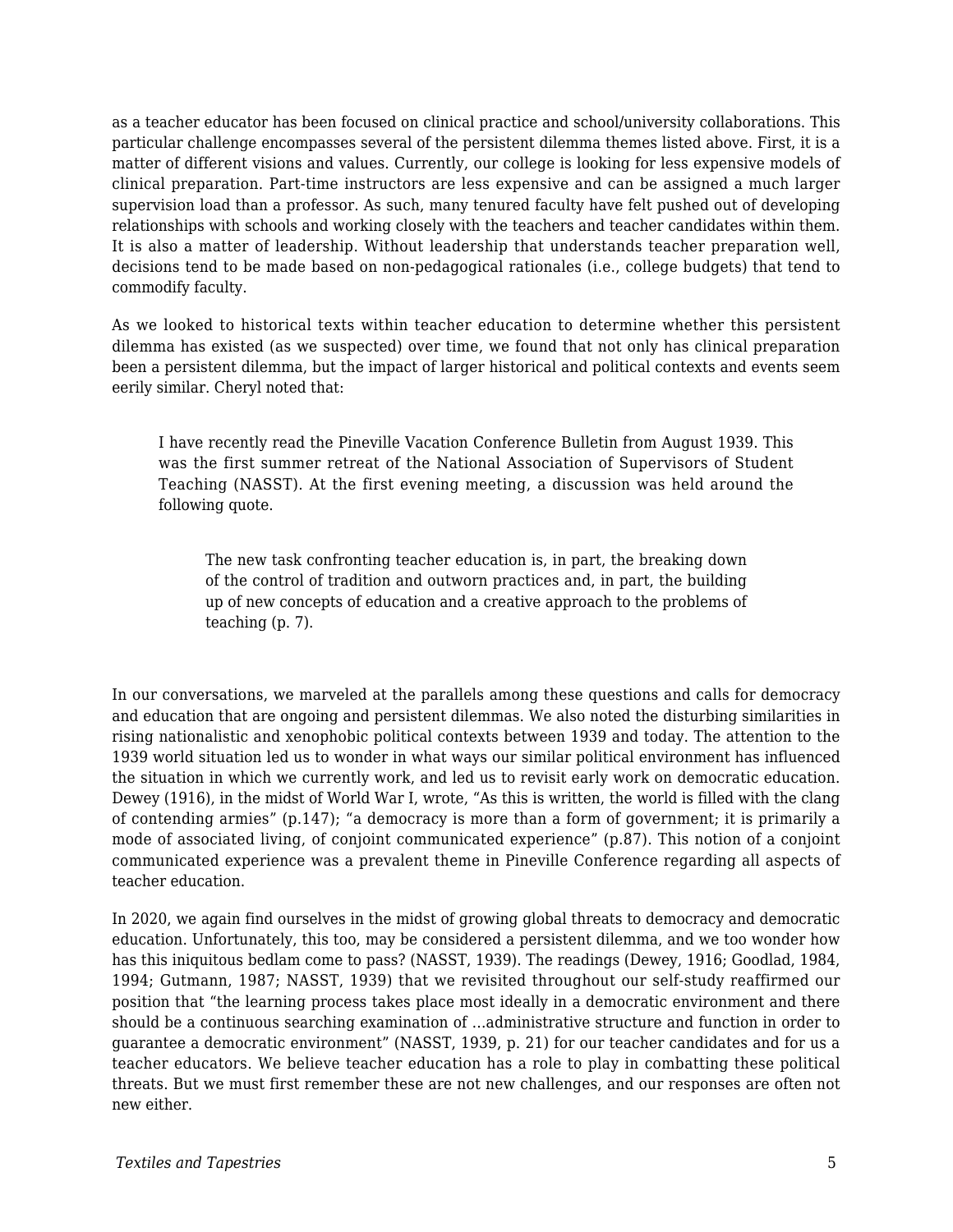as a teacher educator has been focused on clinical practice and school/university collaborations. This particular challenge encompasses several of the persistent dilemma themes listed above. First, it is a matter of different visions and values. Currently, our college is looking for less expensive models of clinical preparation. Part-time instructors are less expensive and can be assigned a much larger supervision load than a professor. As such, many tenured faculty have felt pushed out of developing relationships with schools and working closely with the teachers and teacher candidates within them. It is also a matter of leadership. Without leadership that understands teacher preparation well, decisions tend to be made based on non-pedagogical rationales (i.e., college budgets) that tend to commodify faculty.

As we looked to historical texts within teacher education to determine whether this persistent dilemma has existed (as we suspected) over time, we found that not only has clinical preparation been a persistent dilemma, but the impact of larger historical and political contexts and events seem eerily similar. Cheryl noted that:

I have recently read the Pineville Vacation Conference Bulletin from August 1939. This was the first summer retreat of the National Association of Supervisors of Student Teaching (NASST). At the first evening meeting, a discussion was held around the following quote.

The new task confronting teacher education is, in part, the breaking down of the control of tradition and outworn practices and, in part, the building up of new concepts of education and a creative approach to the problems of teaching (p. 7).

In our conversations, we marveled at the parallels among these questions and calls for democracy and education that are ongoing and persistent dilemmas. We also noted the disturbing similarities in rising nationalistic and xenophobic political contexts between 1939 and today. The attention to the 1939 world situation led us to wonder in what ways our similar political environment has influenced the situation in which we currently work, and led us to revisit early work on democratic education. Dewey (1916), in the midst of World War I, wrote, "As this is written, the world is filled with the clang of contending armies" (p.147); "a democracy is more than a form of government; it is primarily a mode of associated living, of conjoint communicated experience" (p.87). This notion of a conjoint communicated experience was a prevalent theme in Pineville Conference regarding all aspects of teacher education.

In 2020, we again find ourselves in the midst of growing global threats to democracy and democratic education. Unfortunately, this too, may be considered a persistent dilemma, and we too wonder how has this iniquitous bedlam come to pass? (NASST, 1939). The readings (Dewey, 1916; Goodlad, 1984, 1994; Gutmann, 1987; NASST, 1939) that we revisited throughout our self-study reaffirmed our position that "the learning process takes place most ideally in a democratic environment and there should be a continuous searching examination of …administrative structure and function in order to guarantee a democratic environment" (NASST, 1939, p. 21) for our teacher candidates and for us a teacher educators. We believe teacher education has a role to play in combatting these political threats. But we must first remember these are not new challenges, and our responses are often not new either.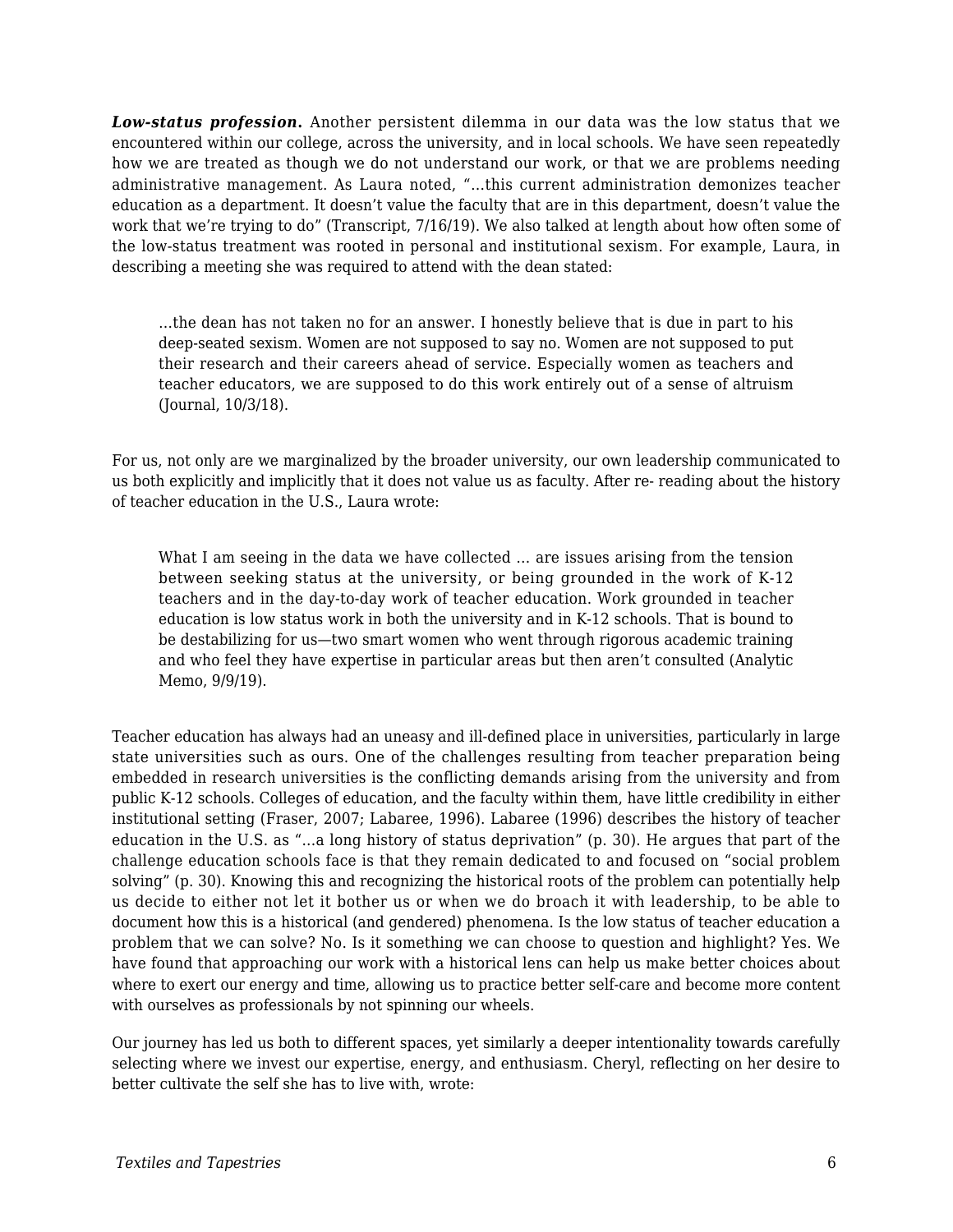*Low-status profession***.** Another persistent dilemma in our data was the low status that we encountered within our college, across the university, and in local schools. We have seen repeatedly how we are treated as though we do not understand our work, or that we are problems needing administrative management. As Laura noted, "…this current administration demonizes teacher education as a department. It doesn't value the faculty that are in this department, doesn't value the work that we're trying to do" (Transcript, 7/16/19). We also talked at length about how often some of the low-status treatment was rooted in personal and institutional sexism. For example, Laura, in describing a meeting she was required to attend with the dean stated:

…the dean has not taken no for an answer. I honestly believe that is due in part to his deep-seated sexism. Women are not supposed to say no. Women are not supposed to put their research and their careers ahead of service. Especially women as teachers and teacher educators, we are supposed to do this work entirely out of a sense of altruism (Journal, 10/3/18).

For us, not only are we marginalized by the broader university, our own leadership communicated to us both explicitly and implicitly that it does not value us as faculty. After re- reading about the history of teacher education in the U.S., Laura wrote:

What I am seeing in the data we have collected … are issues arising from the tension between seeking status at the university, or being grounded in the work of K-12 teachers and in the day-to-day work of teacher education. Work grounded in teacher education is low status work in both the university and in K-12 schools. That is bound to be destabilizing for us—two smart women who went through rigorous academic training and who feel they have expertise in particular areas but then aren't consulted (Analytic Memo, 9/9/19).

Teacher education has always had an uneasy and ill-defined place in universities, particularly in large state universities such as ours. One of the challenges resulting from teacher preparation being embedded in research universities is the conflicting demands arising from the university and from public K-12 schools. Colleges of education, and the faculty within them, have little credibility in either institutional setting (Fraser, 2007; Labaree, 1996). Labaree (1996) describes the history of teacher education in the U.S. as "...a long history of status deprivation" (p. 30). He argues that part of the challenge education schools face is that they remain dedicated to and focused on "social problem solving" (p. 30). Knowing this and recognizing the historical roots of the problem can potentially help us decide to either not let it bother us or when we do broach it with leadership, to be able to document how this is a historical (and gendered) phenomena. Is the low status of teacher education a problem that we can solve? No. Is it something we can choose to question and highlight? Yes. We have found that approaching our work with a historical lens can help us make better choices about where to exert our energy and time, allowing us to practice better self-care and become more content with ourselves as professionals by not spinning our wheels.

Our journey has led us both to different spaces, yet similarly a deeper intentionality towards carefully selecting where we invest our expertise, energy, and enthusiasm. Cheryl, reflecting on her desire to better cultivate the self she has to live with, wrote: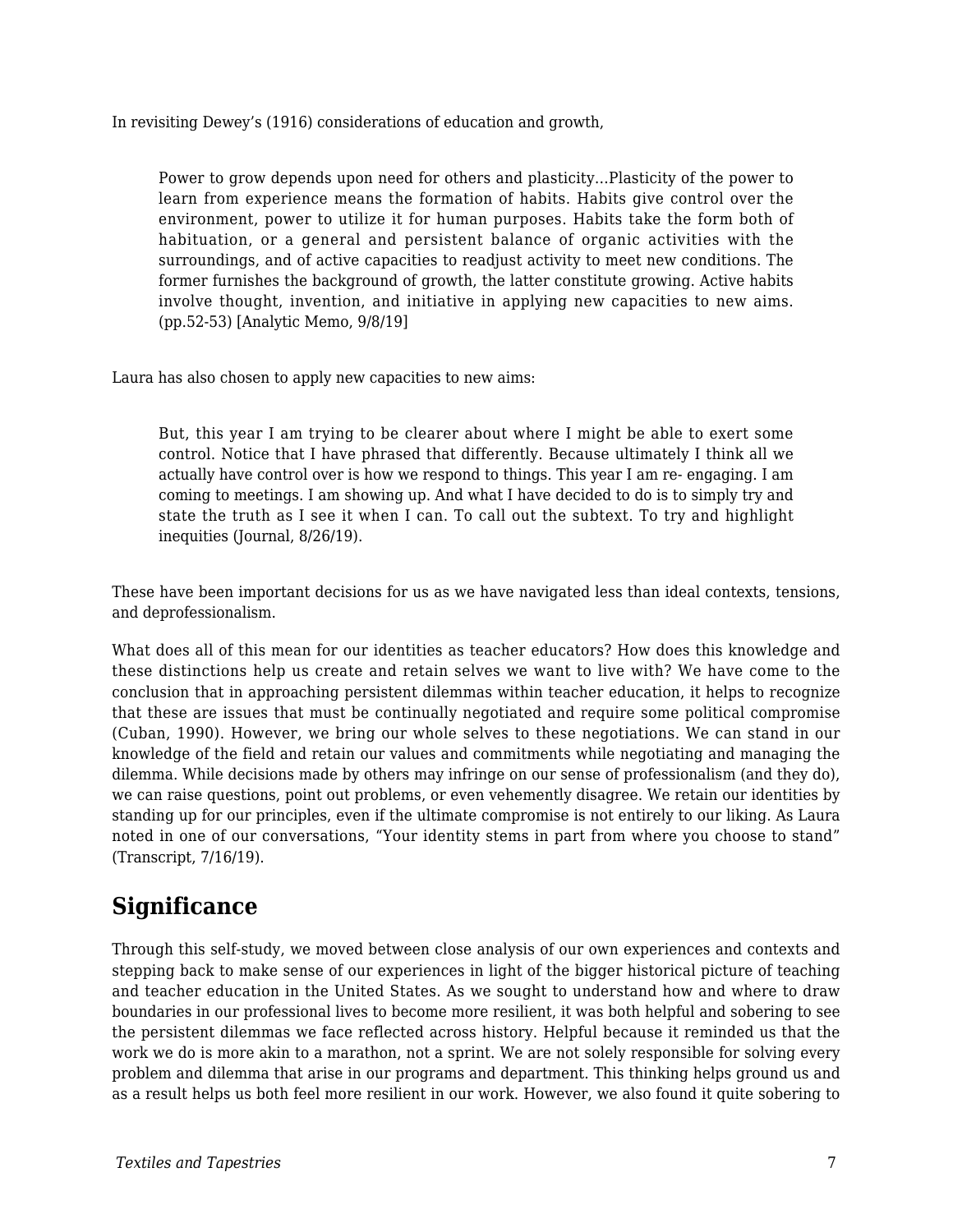In revisiting Dewey's (1916) considerations of education and growth,

Power to grow depends upon need for others and plasticity…Plasticity of the power to learn from experience means the formation of habits. Habits give control over the environment, power to utilize it for human purposes. Habits take the form both of habituation, or a general and persistent balance of organic activities with the surroundings, and of active capacities to readjust activity to meet new conditions. The former furnishes the background of growth, the latter constitute growing. Active habits involve thought, invention, and initiative in applying new capacities to new aims. (pp.52-53) [Analytic Memo, 9/8/19]

Laura has also chosen to apply new capacities to new aims:

But, this year I am trying to be clearer about where I might be able to exert some control. Notice that I have phrased that differently. Because ultimately I think all we actually have control over is how we respond to things. This year I am re- engaging. I am coming to meetings. I am showing up. And what I have decided to do is to simply try and state the truth as I see it when I can. To call out the subtext. To try and highlight inequities (Journal, 8/26/19).

These have been important decisions for us as we have navigated less than ideal contexts, tensions, and deprofessionalism.

What does all of this mean for our identities as teacher educators? How does this knowledge and these distinctions help us create and retain selves we want to live with? We have come to the conclusion that in approaching persistent dilemmas within teacher education, it helps to recognize that these are issues that must be continually negotiated and require some political compromise (Cuban, 1990). However, we bring our whole selves to these negotiations. We can stand in our knowledge of the field and retain our values and commitments while negotiating and managing the dilemma. While decisions made by others may infringe on our sense of professionalism (and they do), we can raise questions, point out problems, or even vehemently disagree. We retain our identities by standing up for our principles, even if the ultimate compromise is not entirely to our liking. As Laura noted in one of our conversations, "Your identity stems in part from where you choose to stand" (Transcript, 7/16/19).

## **Significance**

Through this self-study, we moved between close analysis of our own experiences and contexts and stepping back to make sense of our experiences in light of the bigger historical picture of teaching and teacher education in the United States. As we sought to understand how and where to draw boundaries in our professional lives to become more resilient, it was both helpful and sobering to see the persistent dilemmas we face reflected across history. Helpful because it reminded us that the work we do is more akin to a marathon, not a sprint. We are not solely responsible for solving every problem and dilemma that arise in our programs and department. This thinking helps ground us and as a result helps us both feel more resilient in our work. However, we also found it quite sobering to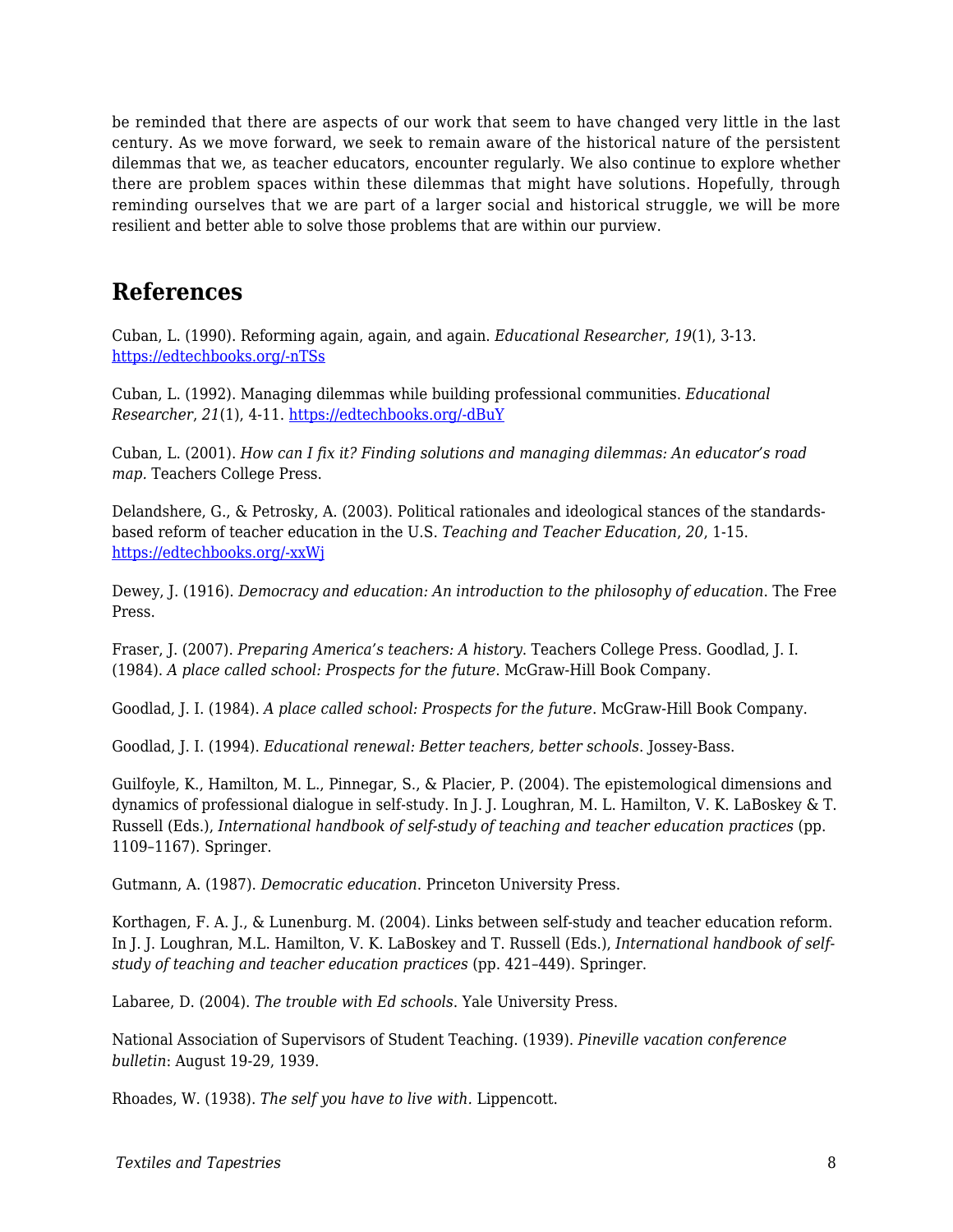be reminded that there are aspects of our work that seem to have changed very little in the last century. As we move forward, we seek to remain aware of the historical nature of the persistent dilemmas that we, as teacher educators, encounter regularly. We also continue to explore whether there are problem spaces within these dilemmas that might have solutions. Hopefully, through reminding ourselves that we are part of a larger social and historical struggle, we will be more resilient and better able to solve those problems that are within our purview.

## **References**

Cuban, L. (1990). Reforming again, again, and again. *Educational Researcher*, *19*(1), 3-13. [https://edtechbooks.org/-nTSs](https://doi.org/10.3102%2F0013189X019001003)

Cuban, L. (1992). Managing dilemmas while building professional communities. *Educational Researcher*, *21*(1), 4-11. [https://edtechbooks.org/-dBuY](https://doi.org/10.3102%2F0013189X021001004)

Cuban, L. (2001). *How can I fix it? Finding solutions and managing dilemmas: An educator's road map.* Teachers College Press.

Delandshere, G., & Petrosky, A. (2003). Political rationales and ideological stances of the standardsbased reform of teacher education in the U.S. *Teaching and Teacher Education*, *20*, 1-15. [https://edtechbooks.org/-xxWj](https://psycnet.apa.org/doi/10.1016/j.tate.2003.09.002)

Dewey, J. (1916). *Democracy and education: An introduction to the philosophy of education*. The Free Press.

Fraser, J. (2007). *Preparing America's teachers: A history*. Teachers College Press. Goodlad, J. I. (1984). *A place called school: Prospects for the future*. McGraw-Hill Book Company.

Goodlad, J. I. (1984). *A place called school: Prospects for the future*. McGraw-Hill Book Company.

Goodlad, J. I. (1994). *Educational renewal: Better teachers, better schools*. Jossey-Bass.

Guilfoyle, K., Hamilton, M. L., Pinnegar, S., & Placier, P. (2004). The epistemological dimensions and dynamics of professional dialogue in self-study. In J. J. Loughran, M. L. Hamilton, V. K. LaBoskey & T. Russell (Eds.), *International handbook of self-study of teaching and teacher education practices* (pp. 1109–1167). Springer.

Gutmann, A. (1987). *Democratic education*. Princeton University Press.

Korthagen, F. A. J., & Lunenburg. M. (2004). Links between self-study and teacher education reform. In J. J. Loughran, M.L. Hamilton, V. K. LaBoskey and T. Russell (Eds.), *International handbook of selfstudy of teaching and teacher education practices* (pp. 421–449). Springer.

Labaree, D. (2004). *The trouble with Ed schools*. Yale University Press.

National Association of Supervisors of Student Teaching. (1939). *Pineville vacation conference bulletin*: August 19-29, 1939.

Rhoades, W. (1938). *The self you have to live with.* Lippencott.